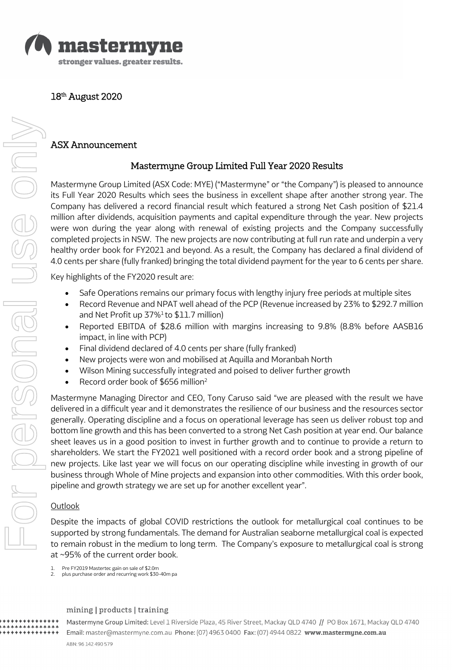

18<sup>th</sup> August 2020

### ASX Announcement

# Mastermyne Group Limited Full Year 2020 Results

Mastermyne Group Limited (ASX Code: MYE) ("Mastermyne" or "the Company") is pleased to announce its Full Year 2020 Results which sees the business in excellent shape after another strong year. The Company has delivered a record financial result which featured a strong Net Cash position of \$21.4 million after dividends, acquisition payments and capital expenditure through the year. New projects were won during the year along with renewal of existing projects and the Company successfully completed projects in NSW. The new projects are now contributing at full run rate and underpin a very healthy order book for FY2021 and beyond. As a result, the Company has declared a final dividend of 4.0 cents per share (fully franked) bringing the total dividend payment for the year to 6 cents per share.

Key highlights of the FY2020 result are:

- Safe Operations remains our primary focus with lengthy injury free periods at multiple sites
- Record Revenue and NPAT well ahead of the PCP (Revenue increased by 23% to \$292.7 million and Net Profit up 37%<sup>1</sup> to \$11.7 million)
- Reported EBITDA of \$28.6 million with margins increasing to 9.8% (8.8% before AASB16 impact, in line with PCP)
- Final dividend declared of 4.0 cents per share (fully franked)
- New projects were won and mobilised at Aquilla and Moranbah North
- Wilson Mining successfully integrated and poised to deliver further growth
- Record order book of \$656 million2

Mastermyne Managing Director and CEO, Tony Caruso said "we are pleased with the result we have delivered in a difficult year and it demonstrates the resilience of our business and the resources sector generally. Operating discipline and a focus on operational leverage has seen us deliver robust top and bottom line growth and this has been converted to a strong Net Cash position at year end. Our balance sheet leaves us in a good position to invest in further growth and to continue to provide a return to shareholders. We start the FY2021 well positioned with a record order book and a strong pipeline of new projects. Like last year we will focus on our operating discipline while investing in growth of our business through Whole of Mine projects and expansion into other commodities. With this order book, pipeline and growth strategy we are set up for another excellent year".

#### **Outlook**

\*\*\*\*\*\*\*\*\*\*

Despite the impacts of global COVID restrictions the outlook for metallurgical coal continues to be supported by strong fundamentals. The demand for Australian seaborne metallurgical coal is expected to remain robust in the medium to long term. The Company's exposure to metallurgical coal is strong at ~95% of the current order book.

- 1. Pre FY2019 Mastertec gain on sale of \$2.0m
- 2. plus purchase order and recurring work \$30-40m pa

#### mining | products | training

Mastermyne Group Limited: Level 1 Riverside Plaza, 45 River Street, Mackay QLD 4740 // PO Box 1671, Mackay QLD 4740 Email: master@mastermyne.com.au Phone: (07) 4963 0400 Fax: (07) 4944 0822 www.mastermyne.com.au ABN: 96 142 490 579